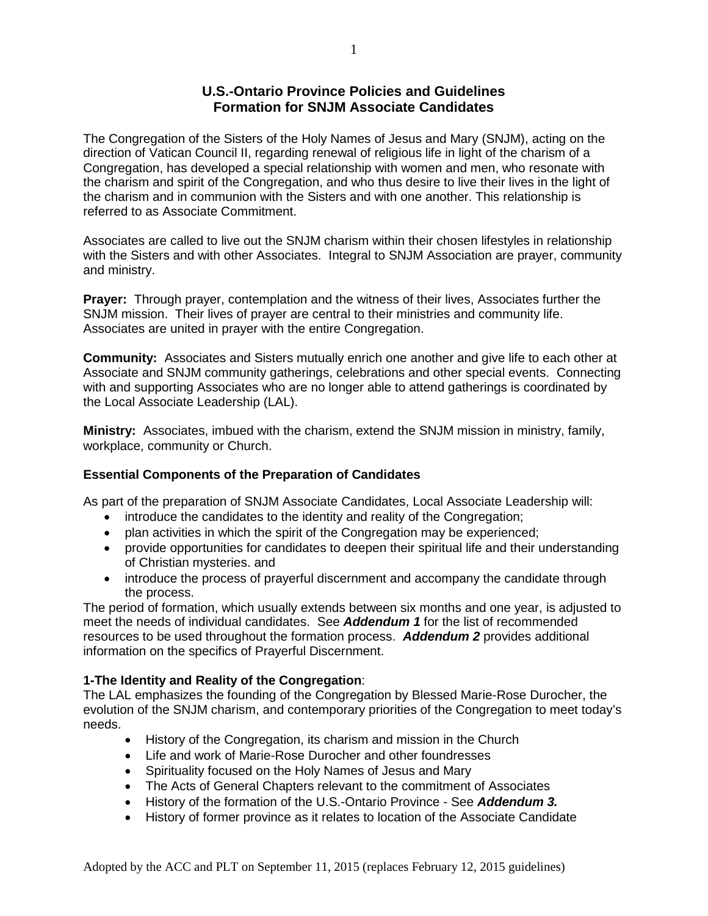## **U.S.-Ontario Province Policies and Guidelines Formation for SNJM Associate Candidates**

The Congregation of the Sisters of the Holy Names of Jesus and Mary (SNJM), acting on the direction of Vatican Council II, regarding renewal of religious life in light of the charism of a Congregation, has developed a special relationship with women and men, who resonate with the charism and spirit of the Congregation, and who thus desire to live their lives in the light of the charism and in communion with the Sisters and with one another. This relationship is referred to as Associate Commitment.

Associates are called to live out the SNJM charism within their chosen lifestyles in relationship with the Sisters and with other Associates. Integral to SNJM Association are prayer, community and ministry.

**Prayer:** Through prayer, contemplation and the witness of their lives, Associates further the SNJM mission. Their lives of prayer are central to their ministries and community life. Associates are united in prayer with the entire Congregation.

**Community:** Associates and Sisters mutually enrich one another and give life to each other at Associate and SNJM community gatherings, celebrations and other special events. Connecting with and supporting Associates who are no longer able to attend gatherings is coordinated by the Local Associate Leadership (LAL).

**Ministry:** Associates, imbued with the charism, extend the SNJM mission in ministry, family, workplace, community or Church.

## **Essential Components of the Preparation of Candidates**

As part of the preparation of SNJM Associate Candidates, Local Associate Leadership will:

- introduce the candidates to the identity and reality of the Congregation;
- plan activities in which the spirit of the Congregation may be experienced;
- provide opportunities for candidates to deepen their spiritual life and their understanding of Christian mysteries. and
- introduce the process of prayerful discernment and accompany the candidate through the process.

The period of formation, which usually extends between six months and one year, is adjusted to meet the needs of individual candidates. See *Addendum 1* for the list of recommended resources to be used throughout the formation process. *Addendum 2* provides additional information on the specifics of Prayerful Discernment.

## **1-The Identity and Reality of the Congregation**:

The LAL emphasizes the founding of the Congregation by Blessed Marie-Rose Durocher, the evolution of the SNJM charism, and contemporary priorities of the Congregation to meet today's needs.

- History of the Congregation, its charism and mission in the Church
- Life and work of Marie-Rose Durocher and other foundresses
- Spirituality focused on the Holy Names of Jesus and Mary
- The Acts of General Chapters relevant to the commitment of Associates
- History of the formation of the U.S.-Ontario Province See *Addendum 3.*
- History of former province as it relates to location of the Associate Candidate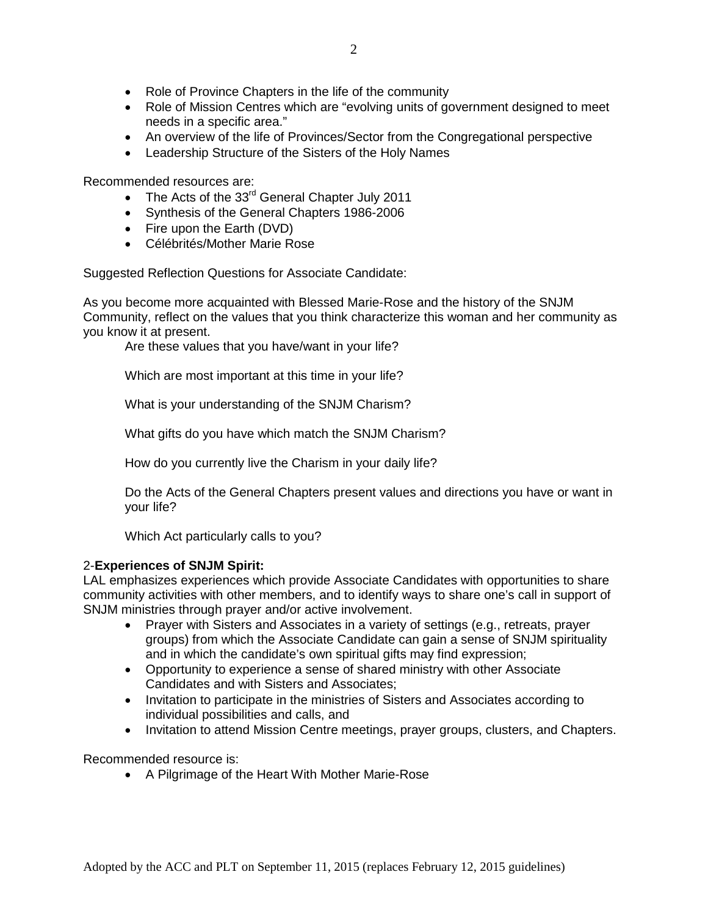- Role of Province Chapters in the life of the community
- Role of Mission Centres which are "evolving units of government designed to meet needs in a specific area."
- An overview of the life of Provinces/Sector from the Congregational perspective
- Leadership Structure of the Sisters of the Holy Names

Recommended resources are:

- The Acts of the  $33<sup>rd</sup>$  General Chapter July 2011
- Synthesis of the General Chapters 1986-2006
- Fire upon the Earth (DVD)
- Célébrités/Mother Marie Rose

Suggested Reflection Questions for Associate Candidate:

As you become more acquainted with Blessed Marie-Rose and the history of the SNJM Community, reflect on the values that you think characterize this woman and her community as you know it at present.

Are these values that you have/want in your life?

Which are most important at this time in your life?

What is your understanding of the SNJM Charism?

What gifts do you have which match the SNJM Charism?

How do you currently live the Charism in your daily life?

Do the Acts of the General Chapters present values and directions you have or want in your life?

Which Act particularly calls to you?

#### 2-**Experiences of SNJM Spirit:**

LAL emphasizes experiences which provide Associate Candidates with opportunities to share community activities with other members, and to identify ways to share one's call in support of SNJM ministries through prayer and/or active involvement.

- Prayer with Sisters and Associates in a variety of settings (e.g., retreats, prayer groups) from which the Associate Candidate can gain a sense of SNJM spirituality and in which the candidate's own spiritual gifts may find expression;
- Opportunity to experience a sense of shared ministry with other Associate Candidates and with Sisters and Associates;
- Invitation to participate in the ministries of Sisters and Associates according to individual possibilities and calls, and
- Invitation to attend Mission Centre meetings, prayer groups, clusters, and Chapters.

Recommended resource is:

• A Pilgrimage of the Heart With Mother Marie-Rose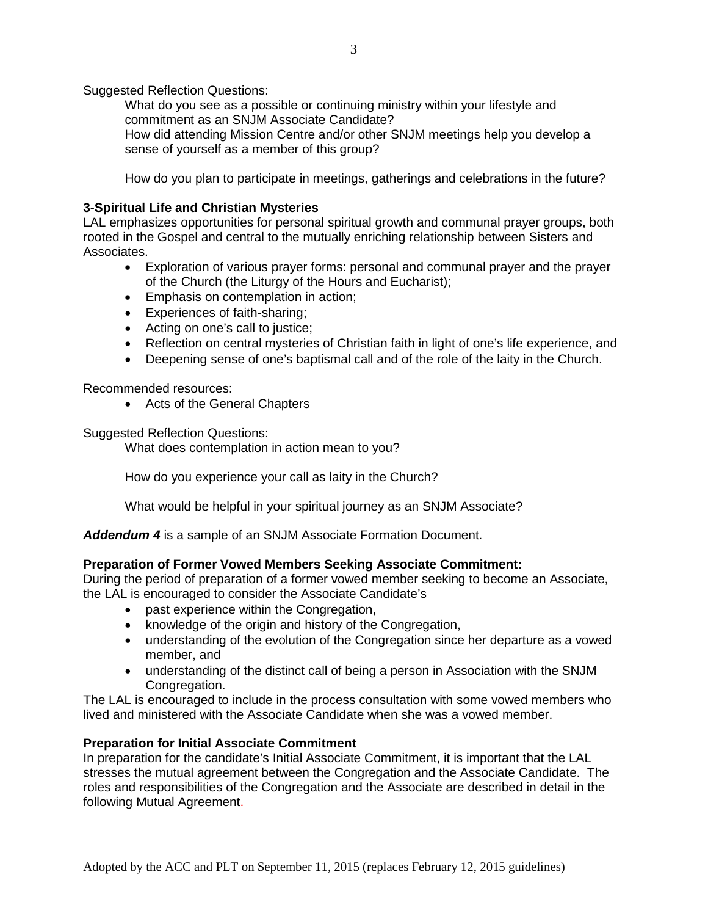Suggested Reflection Questions:

What do you see as a possible or continuing ministry within your lifestyle and commitment as an SNJM Associate Candidate? How did attending Mission Centre and/or other SNJM meetings help you develop a sense of yourself as a member of this group?

How do you plan to participate in meetings, gatherings and celebrations in the future?

## **3-Spiritual Life and Christian Mysteries**

LAL emphasizes opportunities for personal spiritual growth and communal prayer groups, both rooted in the Gospel and central to the mutually enriching relationship between Sisters and Associates.

- Exploration of various prayer forms: personal and communal prayer and the prayer of the Church (the Liturgy of the Hours and Eucharist);
- Emphasis on contemplation in action;
- Experiences of faith-sharing;
- Acting on one's call to justice;
- Reflection on central mysteries of Christian faith in light of one's life experience, and
- Deepening sense of one's baptismal call and of the role of the laity in the Church.

Recommended resources:

• Acts of the General Chapters

Suggested Reflection Questions:

What does contemplation in action mean to you?

How do you experience your call as laity in the Church?

What would be helpful in your spiritual journey as an SNJM Associate?

*Addendum 4* is a sample of an SNJM Associate Formation Document.

#### **Preparation of Former Vowed Members Seeking Associate Commitment:**

During the period of preparation of a former vowed member seeking to become an Associate, the LAL is encouraged to consider the Associate Candidate's

- past experience within the Congregation,
- knowledge of the origin and history of the Congregation,
- understanding of the evolution of the Congregation since her departure as a vowed member, and
- understanding of the distinct call of being a person in Association with the SNJM Congregation.

The LAL is encouraged to include in the process consultation with some vowed members who lived and ministered with the Associate Candidate when she was a vowed member.

#### **Preparation for Initial Associate Commitment**

In preparation for the candidate's Initial Associate Commitment, it is important that the LAL stresses the mutual agreement between the Congregation and the Associate Candidate. The roles and responsibilities of the Congregation and the Associate are described in detail in the following Mutual Agreement.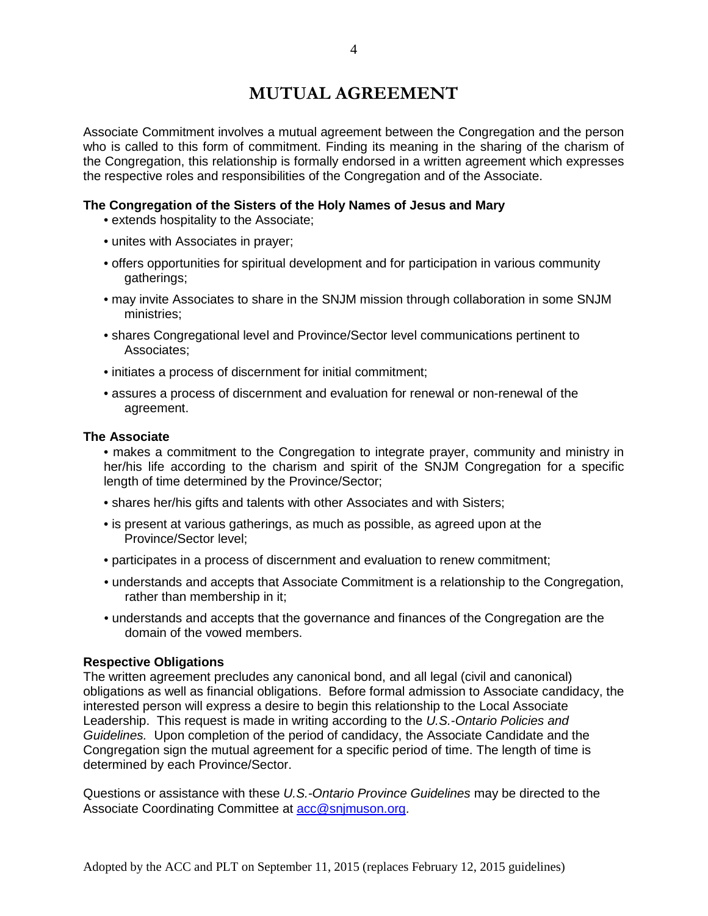# **MUTUAL AGREEMENT**

Associate Commitment involves a mutual agreement between the Congregation and the person who is called to this form of commitment. Finding its meaning in the sharing of the charism of the Congregation, this relationship is formally endorsed in a written agreement which expresses the respective roles and responsibilities of the Congregation and of the Associate.

## **The Congregation of the Sisters of the Holy Names of Jesus and Mary**

- extends hospitality to the Associate;
- unites with Associates in prayer;
- offers opportunities for spiritual development and for participation in various community gatherings;
- may invite Associates to share in the SNJM mission through collaboration in some SNJM ministries;
- shares Congregational level and Province/Sector level communications pertinent to Associates;
- initiates a process of discernment for initial commitment;
- assures a process of discernment and evaluation for renewal or non-renewal of the agreement.

#### **The Associate**

- makes a commitment to the Congregation to integrate prayer, community and ministry in her/his life according to the charism and spirit of the SNJM Congregation for a specific length of time determined by the Province/Sector;
- shares her/his gifts and talents with other Associates and with Sisters;
- is present at various gatherings, as much as possible, as agreed upon at the Province/Sector level;
- participates in a process of discernment and evaluation to renew commitment;
- understands and accepts that Associate Commitment is a relationship to the Congregation, rather than membership in it;
- understands and accepts that the governance and finances of the Congregation are the domain of the vowed members.

#### **Respective Obligations**

The written agreement precludes any canonical bond, and all legal (civil and canonical) obligations as well as financial obligations. Before formal admission to Associate candidacy, the interested person will express a desire to begin this relationship to the Local Associate Leadership. This request is made in writing according to the *U.S.-Ontario Policies and Guidelines.* Upon completion of the period of candidacy, the Associate Candidate and the Congregation sign the mutual agreement for a specific period of time. The length of time is determined by each Province/Sector.

Questions or assistance with these *U.S.-Ontario Province Guidelines* may be directed to the Associate Coordinating Committee at [acc@snjmuson.org.](mailto:acc@snjmuson.org)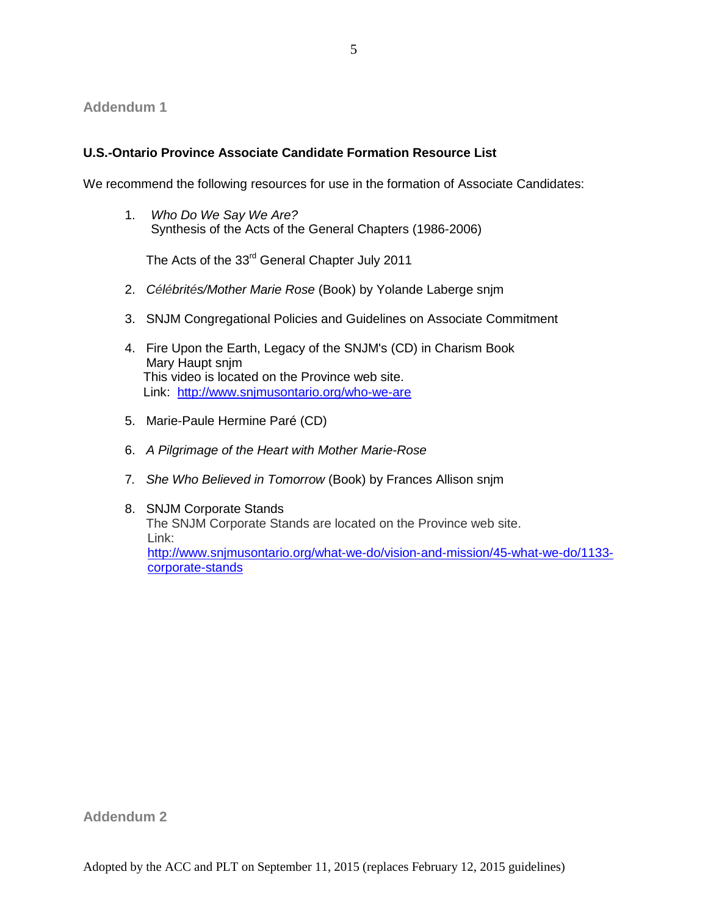## **Addendum 1**

## **U.S.-Ontario Province Associate Candidate Formation Resource List**

We recommend the following resources for use in the formation of Associate Candidates:

1. *Who Do We Say We Are?*  Synthesis of the Acts of the General Chapters (1986-2006)

The Acts of the 33<sup>rd</sup> General Chapter July 2011

- 2. *Célébrités/Mother Marie Rose* (Book) by Yolande Laberge snjm
- 3. SNJM Congregational Policies and Guidelines on Associate Commitment
- 4. Fire Upon the Earth, Legacy of the SNJM's (CD) in Charism Book Mary Haupt snjm This video is located on the Province web site. Link: <http://www.snjmusontario.org/who-we-are>
- 5. Marie-Paule Hermine Paré (CD)
- 6. *A Pilgrimage of the Heart with Mother Marie-Rose*
- 7*. She Who Believed in Tomorrow* (Book) by Frances Allison snjm
- 8. SNJM Corporate Stands The SNJM Corporate Stands are located on the Province web site. Link: [http://www.snjmusontario.org/what-we-do/vision-and-mission/45-what-we-do/1133](http://www.snjmusontario.org/what-we-do/vision-and-mission/45-what-we-do/1133-corporate-stands) [corporate-stands](http://www.snjmusontario.org/what-we-do/vision-and-mission/45-what-we-do/1133-corporate-stands)

**Addendum 2**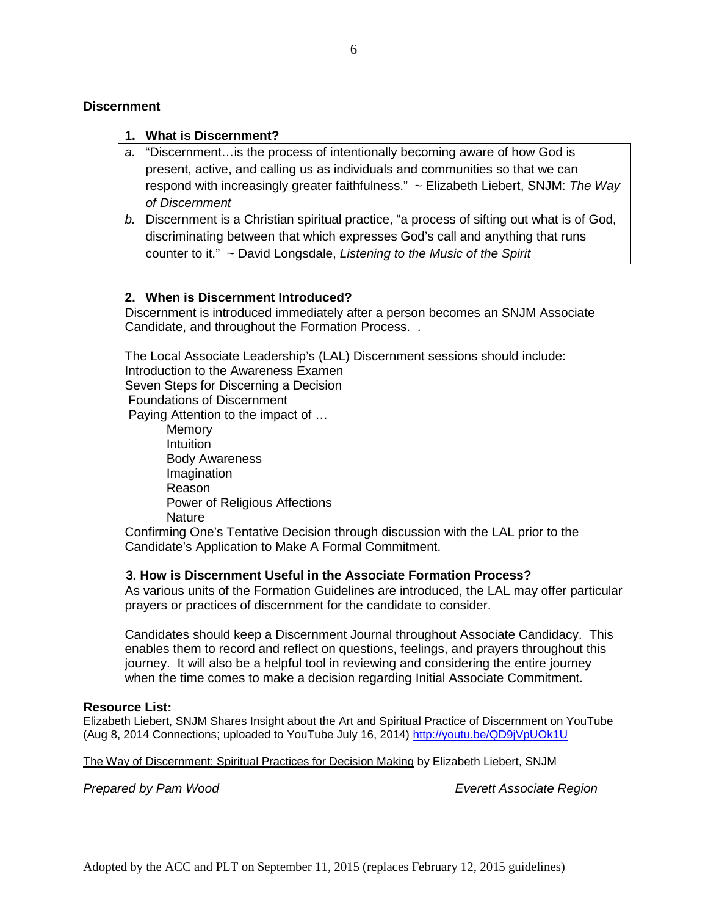#### **Discernment**

#### **1. What is Discernment?**

- *a.* "Discernment…is the process of intentionally becoming aware of how God is present, active, and calling us as individuals and communities so that we can respond with increasingly greater faithfulness." ~ Elizabeth Liebert, SNJM: *The Way of Discernment*
- *b.* Discernment is a Christian spiritual practice, "a process of sifting out what is of God, discriminating between that which expresses God's call and anything that runs counter to it." ~ David Longsdale, *Listening to the Music of the Spirit*

#### **2. When is Discernment Introduced?**

Discernment is introduced immediately after a person becomes an SNJM Associate Candidate, and throughout the Formation Process. .

The Local Associate Leadership's (LAL) Discernment sessions should include: Introduction to the Awareness Examen Seven Steps for Discerning a Decision Foundations of Discernment Paying Attention to the impact of … Memory **Intuition** Body Awareness Imagination Reason Power of Religious Affections **Nature** Confirming One's Tentative Decision through discussion with the LAL prior to the Candidate's Application to Make A Formal Commitment.  **3. How is Discernment Useful in the Associate Formation Process?**

## As various units of the Formation Guidelines are introduced, the LAL may offer particular

prayers or practices of discernment for the candidate to consider.

Candidates should keep a Discernment Journal throughout Associate Candidacy. This enables them to record and reflect on questions, feelings, and prayers throughout this journey. It will also be a helpful tool in reviewing and considering the entire journey when the time comes to make a decision regarding Initial Associate Commitment.

#### **Resource List:**

Elizabeth Liebert, SNJM Shares Insight about the Art and Spiritual Practice of Discernment on YouTube (Aug 8, 2014 Connections; uploaded to YouTube July 16, 2014) [http://youtu.be/QD9jVpUOk1U](http://r20.rs6.net/tn.jsp?f=001MKGMIkXwZDgf9LCvmcCW1IeEQBWEboqa0KEdqbg-WHJERnpLPlvDJwNixxVm6YjgqI2C7Wx-SKZ-LlY_unhlvW7-PH73eUPQzp3_bt8aXa8ie7Ugm6xImgLvK5fmo5xOKsOWE0oN8bxhHY7d4XP9VkCcqdc2zgkCiHNqL45GGtiQb1J1HAkgHg==&c=KguG1VkMyDhkjm9q9PUjcUPZd69Ppr9KmdqYnPeNDsxFxS3apJk6bA==&ch=k7k58Dbb8J-nQAiYdj3gtjr6LkR6BS5ARHKl7B6NukOZt2XT1Jl6jg==)

The Way of Discernment: Spiritual Practices for Decision Making by Elizabeth Liebert, SNJM

*Prepared by Pam Wood Everett Associate Region*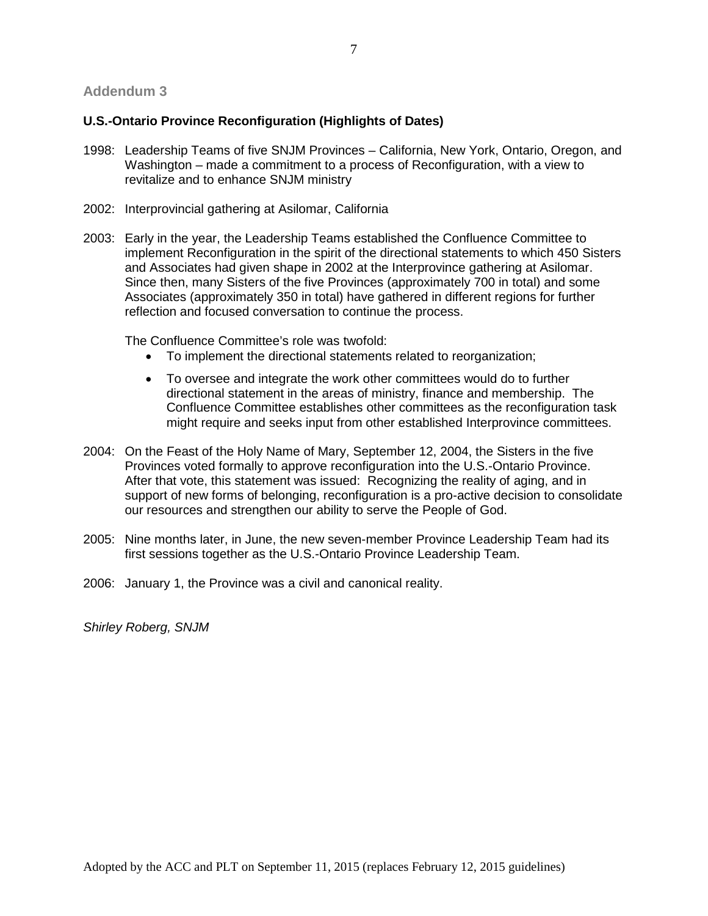#### **Addendum 3**

#### **U.S.-Ontario Province Reconfiguration (Highlights of Dates)**

- 1998: Leadership Teams of five SNJM Provinces California, New York, Ontario, Oregon, and Washington – made a commitment to a process of Reconfiguration, with a view to revitalize and to enhance SNJM ministry
- 2002: Interprovincial gathering at Asilomar, California
- 2003: Early in the year, the Leadership Teams established the Confluence Committee to implement Reconfiguration in the spirit of the directional statements to which 450 Sisters and Associates had given shape in 2002 at the Interprovince gathering at Asilomar. Since then, many Sisters of the five Provinces (approximately 700 in total) and some Associates (approximately 350 in total) have gathered in different regions for further reflection and focused conversation to continue the process.

The Confluence Committee's role was twofold:

- To implement the directional statements related to reorganization;
- To oversee and integrate the work other committees would do to further directional statement in the areas of ministry, finance and membership. The Confluence Committee establishes other committees as the reconfiguration task might require and seeks input from other established Interprovince committees.
- 2004: On the Feast of the Holy Name of Mary, September 12, 2004, the Sisters in the five Provinces voted formally to approve reconfiguration into the U.S.-Ontario Province. After that vote, this statement was issued: Recognizing the reality of aging, and in support of new forms of belonging, reconfiguration is a pro-active decision to consolidate our resources and strengthen our ability to serve the People of God.
- 2005: Nine months later, in June, the new seven-member Province Leadership Team had its first sessions together as the U.S.-Ontario Province Leadership Team.
- 2006: January 1, the Province was a civil and canonical reality.

*Shirley Roberg, SNJM*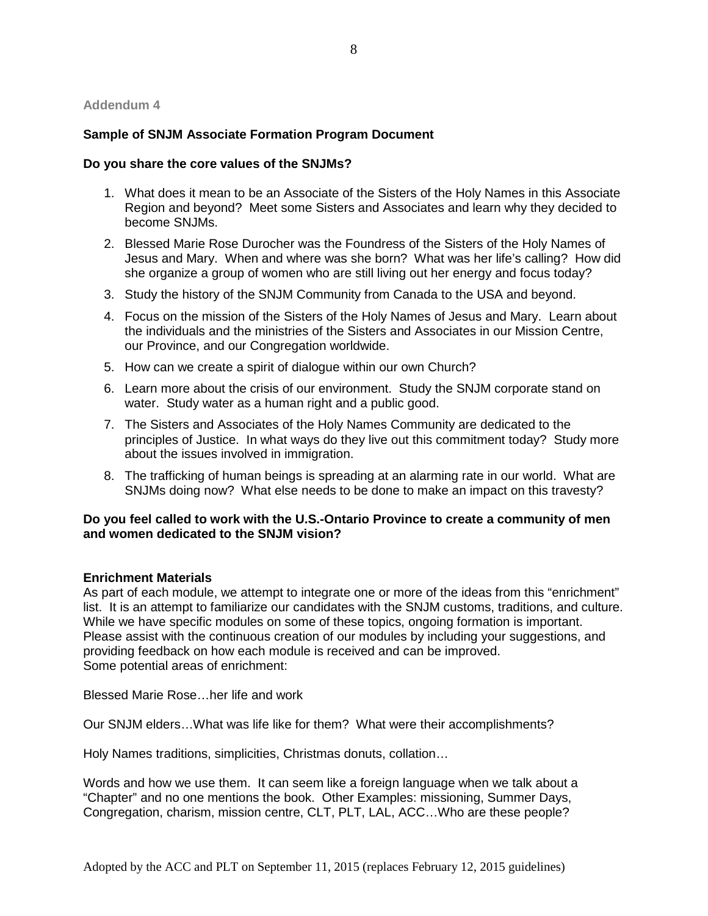#### **Addendum 4**

#### **Sample of SNJM Associate Formation Program Document**

#### **Do you share the core values of the SNJMs?**

- 1. What does it mean to be an Associate of the Sisters of the Holy Names in this Associate Region and beyond? Meet some Sisters and Associates and learn why they decided to become SNJMs.
- 2. Blessed Marie Rose Durocher was the Foundress of the Sisters of the Holy Names of Jesus and Mary. When and where was she born? What was her life's calling? How did she organize a group of women who are still living out her energy and focus today?
- 3. Study the history of the SNJM Community from Canada to the USA and beyond.
- 4. Focus on the mission of the Sisters of the Holy Names of Jesus and Mary. Learn about the individuals and the ministries of the Sisters and Associates in our Mission Centre, our Province, and our Congregation worldwide.
- 5. How can we create a spirit of dialogue within our own Church?
- 6. Learn more about the crisis of our environment. Study the SNJM corporate stand on water. Study water as a human right and a public good.
- 7. The Sisters and Associates of the Holy Names Community are dedicated to the principles of Justice. In what ways do they live out this commitment today? Study more about the issues involved in immigration.
- 8. The trafficking of human beings is spreading at an alarming rate in our world. What are SNJMs doing now? What else needs to be done to make an impact on this travesty?

### **Do you feel called to work with the U.S.-Ontario Province to create a community of men and women dedicated to the SNJM vision?**

#### **Enrichment Materials**

As part of each module, we attempt to integrate one or more of the ideas from this "enrichment" list. It is an attempt to familiarize our candidates with the SNJM customs, traditions, and culture. While we have specific modules on some of these topics, ongoing formation is important. Please assist with the continuous creation of our modules by including your suggestions, and providing feedback on how each module is received and can be improved. Some potential areas of enrichment:

Blessed Marie Rose…her life and work

Our SNJM elders…What was life like for them? What were their accomplishments?

Holy Names traditions, simplicities, Christmas donuts, collation…

Words and how we use them. It can seem like a foreign language when we talk about a "Chapter" and no one mentions the book. Other Examples: missioning, Summer Days, Congregation, charism, mission centre, CLT, PLT, LAL, ACC…Who are these people?